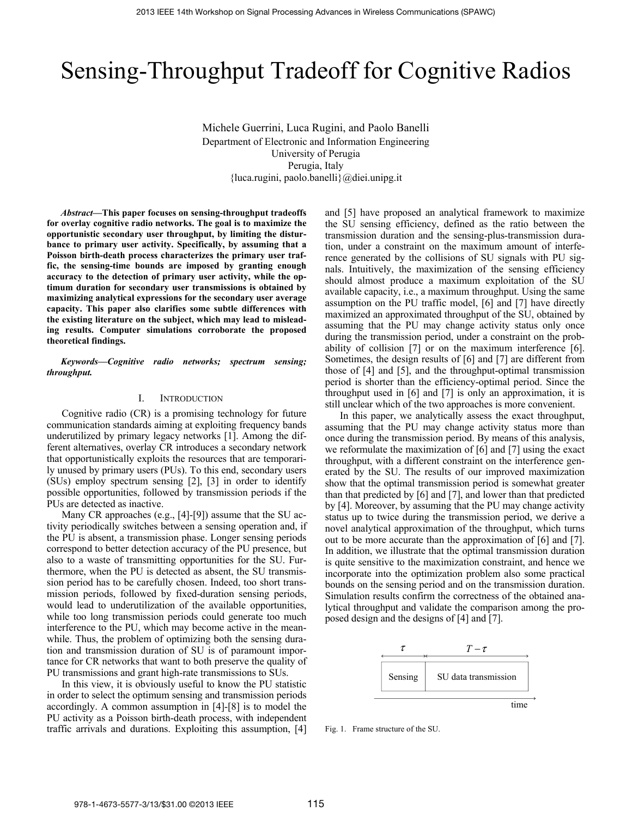# Sensing-Throughput Tradeoff for Cognitive Radios

Michele Guerrini, Luca Rugini, and Paolo Banelli Department of Electronic and Information Engineering University of Perugia Perugia, Italy {luca.rugini, paolo.banelli}@diei.unipg.it

*Abstract***—This paper focuses on sensing-throughput tradeoffs for overlay cognitive radio networks. The goal is to maximize the opportunistic secondary user throughput, by limiting the disturbance to primary user activity. Specifically, by assuming that a Poisson birth-death process characterizes the primary user traffic, the sensing-time bounds are imposed by granting enough accuracy to the detection of primary user activity, while the optimum duration for secondary user transmissions is obtained by maximizing analytical expressions for the secondary user average capacity. This paper also clarifies some subtle differences with the existing literature on the subject, which may lead to misleading results. Computer simulations corroborate the proposed theoretical findings.**

*Keywords—Cognitive radio networks; spectrum sensing; throughput.* 

# I. INTRODUCTION

Cognitive radio (CR) is a promising technology for future communication standards aiming at exploiting frequency bands underutilized by primary legacy networks [1]. Among the different alternatives, overlay CR introduces a secondary network that opportunistically exploits the resources that are temporarily unused by primary users (PUs). To this end, secondary users (SUs) employ spectrum sensing [2], [3] in order to identify possible opportunities, followed by transmission periods if the PUs are detected as inactive.

Many CR approaches (e.g., [4]-[9]) assume that the SU activity periodically switches between a sensing operation and, if the PU is absent, a transmission phase. Longer sensing periods correspond to better detection accuracy of the PU presence, but also to a waste of transmitting opportunities for the SU. Furthermore, when the PU is detected as absent, the SU transmission period has to be carefully chosen. Indeed, too short transmission periods, followed by fixed-duration sensing periods, would lead to underutilization of the available opportunities, while too long transmission periods could generate too much interference to the PU, which may become active in the meanwhile. Thus, the problem of optimizing both the sensing duration and transmission duration of SU is of paramount importance for CR networks that want to both preserve the quality of PU transmissions and grant high-rate transmissions to SUs.

In this view, it is obviously useful to know the PU statistic in order to select the optimum sensing and transmission periods accordingly. A common assumption in [4]-[8] is to model the PU activity as a Poisson birth-death process, with independent traffic arrivals and durations. Exploiting this assumption, [4] and [5] have proposed an analytical framework to maximize the SU sensing efficiency, defined as the ratio between the transmission duration and the sensing-plus-transmission duration, under a constraint on the maximum amount of interference generated by the collisions of SU signals with PU signals. Intuitively, the maximization of the sensing efficiency should almost produce a maximum exploitation of the SU available capacity, i.e., a maximum throughput. Using the same assumption on the PU traffic model, [6] and [7] have directly maximized an approximated throughput of the SU, obtained by assuming that the PU may change activity status only once during the transmission period, under a constraint on the probability of collision [7] or on the maximum interference [6]. Sometimes, the design results of [6] and [7] are different from those of [4] and [5], and the throughput-optimal transmission period is shorter than the efficiency-optimal period. Since the throughput used in [6] and [7] is only an approximation, it is still unclear which of the two approaches is more convenient.

In this paper, we analytically assess the exact throughput, assuming that the PU may change activity status more than once during the transmission period. By means of this analysis, we reformulate the maximization of [6] and [7] using the exact throughput, with a different constraint on the interference generated by the SU. The results of our improved maximization show that the optimal transmission period is somewhat greater than that predicted by [6] and [7], and lower than that predicted by [4]. Moreover, by assuming that the PU may change activity status up to twice during the transmission period, we derive a novel analytical approximation of the throughput, which turns out to be more accurate than the approximation of [6] and [7]. In addition, we illustrate that the optimal transmission duration is quite sensitive to the maximization constraint, and hence we incorporate into the optimization problem also some practical bounds on the sensing period and on the transmission duration. Simulation results confirm the correctness of the obtained analytical throughput and validate the comparison among the proposed design and the designs of [4] and [7].



Fig. 1. Frame structure of the SU.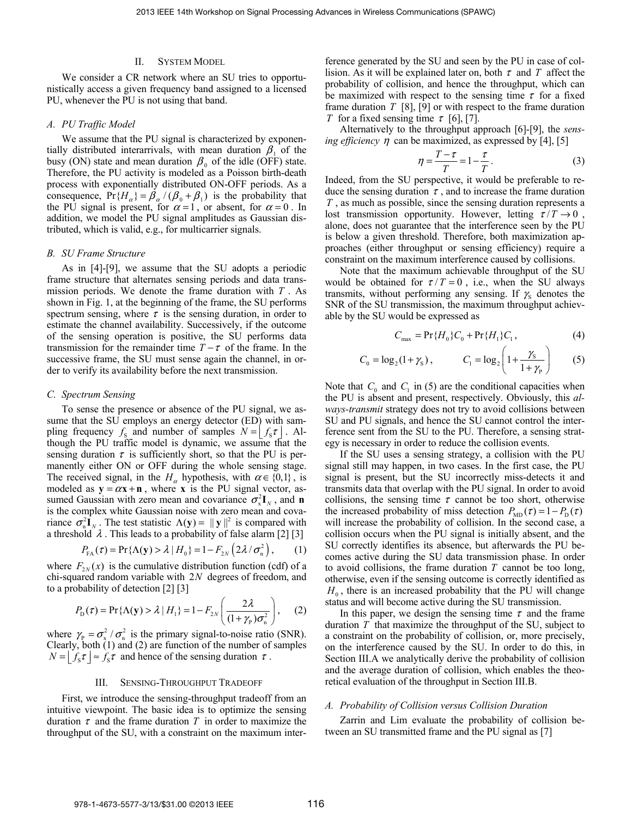## II. SYSTEM MODEL

We consider a CR network where an SU tries to opportunistically access a given frequency band assigned to a licensed PU, whenever the PU is not using that band.

## *A. PU Traffic Model*

We assume that the PU signal is characterized by exponentially distributed interarrivals, with mean duration  $\beta_1$  of the busy (ON) state and mean duration  $\beta_0$  of the idle (OFF) state. Therefore, the PU activity is modeled as a Poisson birth-death process with exponentially distributed ON-OFF periods. As a consequence,  $Pr{H_{\alpha}} = \beta_{\alpha}/(\beta_0 + \beta_1)$  is the probability that the PU signal is present, for  $\alpha = 1$ , or absent, for  $\alpha = 0$ . In addition, we model the PU signal amplitudes as Gaussian distributed, which is valid, e.g., for multicarrier signals.

## *B. SU Frame Structure*

As in [4]-[9], we assume that the SU adopts a periodic frame structure that alternates sensing periods and data transmission periods. We denote the frame duration with *T* . As shown in Fig. 1, at the beginning of the frame, the SU performs spectrum sensing, where  $\tau$  is the sensing duration, in order to estimate the channel availability. Successively, if the outcome of the sensing operation is positive, the SU performs data transmission for the remainder time  $T - \tau$  of the frame. In the successive frame, the SU must sense again the channel, in order to verify its availability before the next transmission.

## *C. Spectrum Sensing*

To sense the presence or absence of the PU signal, we assume that the SU employs an energy detector (ED) with sampling frequency  $f_s$  and number of samples  $N = |f_s \tau|$ . Although the PU traffic model is dynamic, we assume that the sensing duration  $\tau$  is sufficiently short, so that the PU is permanently either ON or OFF during the whole sensing stage. The received signal, in the  $H_\alpha$  hypothesis, with  $\alpha \in \{0,1\}$ , is modeled as  $y = \alpha x + n$ , where **x** is the PU signal vector, assumed Gaussian with zero mean and covariance  $\sigma_x^2 \mathbf{I}_y$ , and **n** is the complex white Gaussian noise with zero mean and covariance  $\sigma_n^2 \mathbf{I}_N$ . The test statistic  $\Lambda(\mathbf{y}) = ||\mathbf{y}||^2$  is compared with a threshold  $\lambda$ . This leads to a probability of false alarm [2] [3]

$$
P_{FA}(\tau) = \Pr\{\Lambda(\mathbf{y}) > \lambda \mid H_0\} = 1 - F_{2N} \left( 2\lambda / \sigma_n^2 \right), \qquad (1)
$$

where  $F_{2N}(x)$  is the cumulative distribution function (cdf) of a chi-squared random variable with 2*N* degrees of freedom, and to a probability of detection [2] [3]

$$
P_{\rm D}(\tau) = \Pr\{\Lambda(\mathbf{y}) > \lambda \mid H_1\} = 1 - F_{2N} \left(\frac{2\lambda}{(1 + \gamma_{\rm P})\sigma_{\rm n}^2}\right),\tag{2}
$$

where  $\gamma_{\rm p} = \sigma_{\rm x}^2 / \sigma_{\rm n}^2$  is the primary signal-to-noise ratio (SNR). Clearly, both (1) and (2) are function of the number of samples  $N = |f_s \tau| \approx f_s \tau$  and hence of the sensing duration  $\tau$ .

#### III. SENSING-THROUGHPUT TRADEOFF

First, we introduce the sensing-throughput tradeoff from an intuitive viewpoint. The basic idea is to optimize the sensing duration  $\tau$  and the frame duration  $T$  in order to maximize the throughput of the SU, with a constraint on the maximum interference generated by the SU and seen by the PU in case of collision. As it will be explained later on, both  $\tau$  and  $T$  affect the probability of collision, and hence the throughput, which can be maximized with respect to the sensing time  $\tau$  for a fixed frame duration *T* [8], [9] or with respect to the frame duration *T* for a fixed sensing time  $\tau$  [6], [7].

Alternatively to the throughput approach [6]-[9], the *sensing efficiency*  $\eta$  can be maximized, as expressed by [4], [5]

$$
\eta = \frac{T - \tau}{T} = 1 - \frac{\tau}{T}.
$$
\n(3)

Indeed, from the SU perspective, it would be preferable to reduce the sensing duration  $\tau$ , and to increase the frame duration *T* , as much as possible, since the sensing duration represents a lost transmission opportunity. However, letting  $\tau/T \rightarrow 0$ , alone, does not guarantee that the interference seen by the PU is below a given threshold. Therefore, both maximization approaches (either throughput or sensing efficiency) require a constraint on the maximum interference caused by collisions.

Note that the maximum achievable throughput of the SU would be obtained for  $\tau / T = 0$ , i.e., when the SU always transmits, without performing any sensing. If  $\gamma_s$  denotes the SNR of the SU transmission, the maximum throughput achievable by the SU would be expressed as

$$
C_{\text{max}} = \Pr\{H_0\}C_0 + \Pr\{H_1\}C_1, \tag{4}
$$

$$
C_0 = \log_2(1 + \gamma_s)
$$
,  $C_1 = \log_2\left(1 + \frac{\gamma_s}{1 + \gamma_p}\right)$  (5)

Note that  $C_0$  and  $C_1$  in (5) are the conditional capacities when the PU is absent and present, respectively. Obviously, this *always-transmit* strategy does not try to avoid collisions between SU and PU signals, and hence the SU cannot control the interference sent from the SU to the PU. Therefore, a sensing strategy is necessary in order to reduce the collision events.

If the SU uses a sensing strategy, a collision with the PU signal still may happen, in two cases. In the first case, the PU signal is present, but the SU incorrectly miss-detects it and transmits data that overlap with the PU signal. In order to avoid collisions, the sensing time  $\tau$  cannot be too short, otherwise the increased probability of miss detection  $P_{MD}(\tau) = 1 - P_D(\tau)$ will increase the probability of collision. In the second case, a collision occurs when the PU signal is initially absent, and the SU correctly identifies its absence, but afterwards the PU becomes active during the SU data transmission phase. In order to avoid collisions, the frame duration *T* cannot be too long, otherwise, even if the sensing outcome is correctly identified as  $H<sub>0</sub>$ , there is an increased probability that the PU will change status and will become active during the SU transmission.

In this paper, we design the sensing time  $\tau$  and the frame duration *T* that maximize the throughput of the SU, subject to a constraint on the probability of collision, or, more precisely, on the interference caused by the SU. In order to do this, in Section III.A we analytically derive the probability of collision and the average duration of collision, which enables the theoretical evaluation of the throughput in Section III.B.

# *A. Probability of Collision versus Collision Duration*

Zarrin and Lim evaluate the probability of collision between an SU transmitted frame and the PU signal as [7]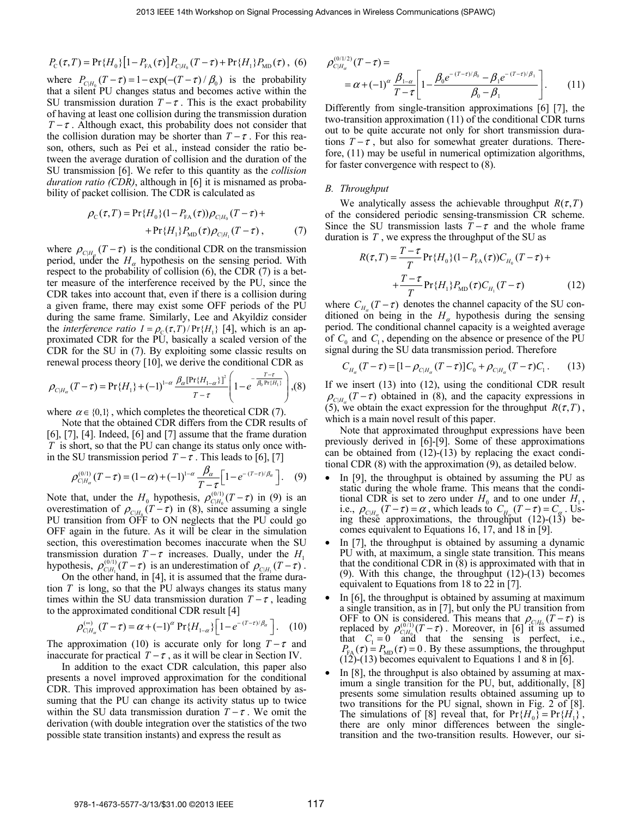$$
P_{\rm C}(\tau,T) = \Pr\{H_0\} \left[1 - P_{\rm FA}(\tau)\right] P_{\rm C|H_0}(T-\tau) + \Pr\{H_1\} P_{\rm MD}(\tau) , \tag{6}
$$

where  $P_{CH_0}(T - \tau) = 1 - \exp(-(T - \tau)/\beta_0)$  is the probability that a silent PU changes status and becomes active within the SU transmission duration  $T - \tau$ . This is the exact probability of having at least one collision during the transmission duration  $T - \tau$ . Although exact, this probability does not consider that the collision duration may be shorter than  $T - \tau$ . For this reason, others, such as Pei et al., instead consider the ratio between the average duration of collision and the duration of the SU transmission [6]. We refer to this quantity as the *collision duration ratio (CDR)*, although in [6] it is misnamed as probability of packet collision. The CDR is calculated as

$$
\rho_{\rm C}(\tau, T) = \Pr\{H_0\}(1 - P_{\rm FA}(\tau))\rho_{\rm C|H_0}(T - \tau) + \Pr\{H_1\}P_{\rm MD}(\tau)\rho_{\rm C|H_1}(T - \tau)\,,\tag{7}
$$

where  $\rho_{C|H_{\alpha}}(T - \tau)$  is the conditional CDR on the transmission period, under the  $H_\alpha$  hypothesis on the sensing period. With respect to the probability of collision (6), the CDR (7) is a better measure of the interference received by the PU, since the CDR takes into account that, even if there is a collision during a given frame, there may exist some OFF periods of the PU during the same frame. Similarly, Lee and Akyildiz consider the *interference ratio*  $I = \rho_c(\tau, T)/\Pr\{H_i\}$  [4], which is an approximated CDR for the PU, basically a scaled version of the CDR for the SU in (7). By exploiting some classic results on renewal process theory [10], we derive the conditional CDR as

$$
\rho_{C|H_{\alpha}}(T-\tau) = \Pr\{H_1\} + (-1)^{1-\alpha} \frac{\beta_{\alpha} [\Pr\{H_{1-\alpha}\}]^2}{T-\tau} \left(1 - e^{-\frac{T-\tau}{\beta_0 \Pr\{H_1\}}}\right), (8)
$$

where  $\alpha \in \{0,1\}$ , which completes the theoretical CDR (7).

Note that the obtained CDR differs from the CDR results of [6], [7], [4]. Indeed, [6] and [7] assume that the frame duration *T* is short, so that the PU can change its status only once within the SU transmission period  $T - \tau$ . This leads to [6], [7]

$$
\rho_{C|H_{\alpha}}^{(0/1)}(T-\tau)=(1-\alpha)+(-1)^{1-\alpha}\frac{\beta_{\alpha}}{T-\tau}\Big[1-e^{-(T-\tau)/\beta_{\alpha}}\Big].
$$
 (9)

Note that, under the  $H_0$  hypothesis,  $\rho_{C|H_0}^{(0/1)}(T-\tau)$  in (9) is an overestimation of  $\rho_{\text{CH}_p}(T-\tau)$  in (8), since assuming a single PU transition from OFF to ON neglects that the PU could go OFF again in the future. As it will be clear in the simulation section, this overestimation becomes inaccurate when the SU transmission duration  $T - \tau$  increases. Dually, under the  $H_1$ hypothesis,  $\rho_{CH_1}^{(0/1)}(T-\tau)$  is an underestimation of  $\rho_{CH_1}(T-\tau)$ .

On the other hand, in [4], it is assumed that the frame duration *T* is long, so that the PU always changes its status many times within the SU data transmission duration  $T - \tau$ , leading to the approximated conditional CDR result [4]

$$
\rho_{C|H_{\alpha}}^{^{(\infty)}}(T-\tau) = \alpha + (-1)^{\alpha} \Pr\{H_{1-\alpha}\}\left[1 - e^{-(T-\tau)/\beta_{\alpha}}\right].
$$
 (10)

The approximation (10) is accurate only for long  $T - \tau$  and inaccurate for practical  $T - \tau$ , as it will be clear in Section IV.

In addition to the exact CDR calculation, this paper also presents a novel improved approximation for the conditional CDR. This improved approximation has been obtained by assuming that the PU can change its activity status up to twice within the SU data transmission duration  $T - \tau$ . We omit the derivation (with double integration over the statistics of the two possible state transition instants) and express the result as

$$
\rho_{\text{CH}_\alpha}^{(0/1/2)}(T-\tau) =
$$
\n
$$
= \alpha + (-1)^\alpha \frac{\beta_{1-\alpha}}{T-\tau} \left[ 1 - \frac{\beta_0 e^{-(T-\tau)/\beta_0} - \beta_1 e^{-(T-\tau)/\beta_1}}{\beta_0 - \beta_1} \right].
$$
\n(11)

Differently from single-transition approximations [6] [7], the two-transition approximation (11) of the conditional CDR turns out to be quite accurate not only for short transmission durations  $T - \tau$ , but also for somewhat greater durations. Therefore, (11) may be useful in numerical optimization algorithms, for faster convergence with respect to (8).

# *B. Throughput*

We analytically assess the achievable throughput  $R(\tau, T)$ of the considered periodic sensing-transmission CR scheme. Since the SU transmission lasts  $T - \tau$  and the whole frame duration is *T* , we express the throughput of the SU as

$$
R(\tau, T) = \frac{T - \tau}{T} \Pr\{H_0\} (1 - P_{FA}(\tau)) C_{H_0} (T - \tau) + \frac{T - \tau}{T} \Pr\{H_1\} P_{MD}(\tau) C_{H_1} (T - \tau)
$$
(12)

where  $C_{H<sub>n</sub>}(T-\tau)$  denotes the channel capacity of the SU conditioned on being in the  $H_\alpha$  hypothesis during the sensing period. The conditional channel capacity is a weighted average of  $C_0$  and  $C_1$ , depending on the absence or presence of the PU signal during the SU data transmission period. Therefore

$$
C_{H_{\alpha}}(T-\tau) = [1 - \rho_{C|H_{\alpha}}(T-\tau)]C_0 + \rho_{C|H_{\alpha}}(T-\tau)C_1.
$$
 (13)

If we insert (13) into (12), using the conditional CDR result  $\rho_{CH_{\alpha}}(T-\tau)$  obtained in (8), and the capacity expressions in (5), we obtain the exact expression for the throughput  $R(\tau, T)$ , which is a main novel result of this paper.

Note that approximated throughput expressions have been previously derived in [6]-[9]. Some of these approximations can be obtained from (12)-(13) by replacing the exact conditional CDR (8) with the approximation (9), as detailed below.

- In [9], the throughput is obtained by assuming the PU as static during the whole frame. This means that the conditional CDR is set to zero under  $H_0$  and to one under  $H_1$ ,<br>i.e.,  $\rho_{CH_6}(T-\tau) = \alpha$ , which leads to  $C_{H_6}(T-\tau) = C_{\alpha}$ . Using these approximations, the throughput (12)-(13) becomes equivalent to Equations 16, 17, and 18 in [9].
- In [7], the throughput is obtained by assuming a dynamic PU with, at maximum, a single state transition. This means that the conditional CDR in (8) is approximated with that in (9). With this change, the throughput (12)-(13) becomes equivalent to Equations from 18 to 22 in [7].
- In [6], the throughput is obtained by assuming at maximum a single transition, as in [7], but only the PU transition from OFF to ON is considered. This means that  $\rho_{\text{C}|H_0}(T-\tau)$  is replaced by  $\rho_{CH_0}^{(0/1)}(T-\tau)$ . Moreover, in [6] it is assumed that  $C_1 = 0$  and that the sensing is perfect, i.e.,  $P_{FA}(\tau) = P_{MD}(\tau) = 0$ . By these assumptions, the throughput  $(12)-(13)$  becomes equivalent to Equations 1 and 8 in [6].
- In [8], the throughput is also obtained by assuming at maximum a single transition for the PU, but, additionally, [8] presents some simulation results obtained assuming up to two transitions for the PU signal, shown in Fig. 2 of [8]. The simulations of [8] reveal that, for  $Pr{H_0} = Pr{H_1}$ , there are only minor differences between the singletransition and the two-transition results. However, our si-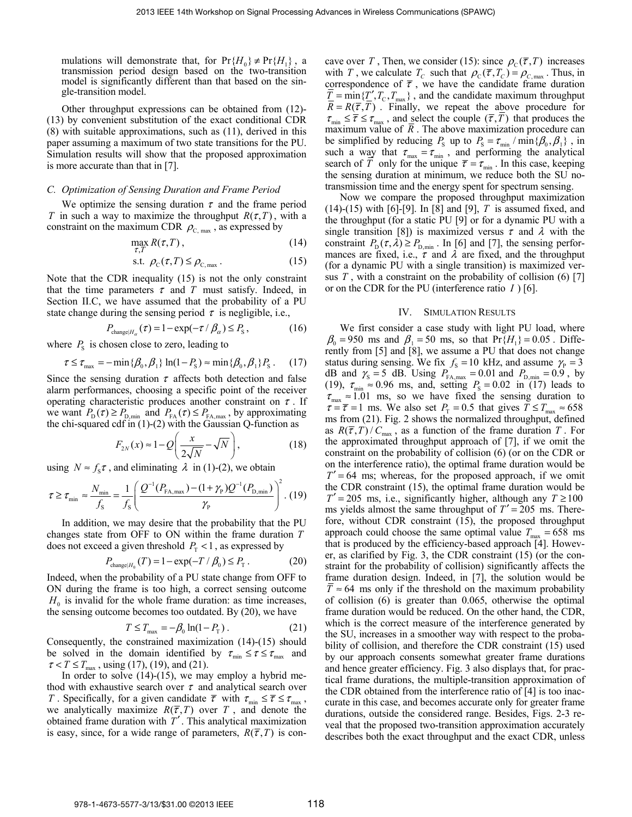mulations will demonstrate that, for  $Pr{H_0} \neq Pr{H_1}$ , a transmission period design based on the two-transition model is significantly different than that based on the single-transition model.

Other throughput expressions can be obtained from (12)- (13) by convenient substitution of the exact conditional CDR (8) with suitable approximations, such as (11), derived in this paper assuming a maximum of two state transitions for the PU. Simulation results will show that the proposed approximation is more accurate than that in [7].

## *C. Optimization of Sensing Duration and Frame Period*

We optimize the sensing duration  $\tau$  and the frame period *T* in such a way to maximize the throughput  $R(\tau, T)$ , with a constraint on the maximum CDR  $\rho_{\text{C,max}}$ , as expressed by

$$
\max_{\tau, T} R(\tau, T) , \qquad (14)
$$

$$
\text{s.t. } \rho_{\text{C}}(\tau, T) \le \rho_{\text{C,max}} \,. \tag{15}
$$

Note that the CDR inequality (15) is not the only constraint that the time parameters  $\tau$  and  $T$  must satisfy. Indeed, in Section II.C, we have assumed that the probability of a PU state change during the sensing period  $\tau$  is negligible, i.e.,

$$
P_{\text{change}|H_{\alpha}}(\tau) = 1 - \exp(-\tau / \beta_{\alpha}) \le P_{\text{S}}\,,\tag{16}
$$

where  $P<sub>S</sub>$  is chosen close to zero, leading to

$$
\tau \le \tau_{\text{max}} = -\min\{\beta_0, \beta_1\} \ln(1 - P_{\text{S}}) \approx \min\{\beta_0, \beta_1\} P_{\text{S}} \,. \tag{17}
$$

Since the sensing duration  $\tau$  affects both detection and false alarm performances, choosing a specific point of the receiver operating characteristic produces another constraint on  $\tau$ . If we want  $P_{\rm D}(\tau) \ge P_{\rm D,min}$  and  $P_{\rm FA}(\tau) \le P_{\rm FA,max}$ , by approximating the chi-squared cdf in  $(1)-(2)$  with the Gaussian Q-function as

$$
F_{2N}(x) \approx 1 - Q\left(\frac{x}{2\sqrt{N}} - \sqrt{N}\right),\tag{18}
$$

using  $N \approx f_s \tau$ , and eliminating  $\lambda$  in (1)-(2), we obtain

$$
\tau \ge \tau_{\min} \approx \frac{N_{\min}}{f_{\rm s}} = \frac{1}{f_{\rm s}} \left( \frac{Q^{-1}(P_{\rm FA,max}) - (1 + \gamma_{\rm p})Q^{-1}(P_{\rm D,min})}{\gamma_{\rm p}} \right)^2. (19)
$$

In addition, we may desire that the probability that the PU changes state from OFF to ON within the frame duration *T* does not exceed a given threshold  $P_{\rm r}$  < 1, as expressed by

$$
P_{\text{change}|H_0}(T) = 1 - \exp(-T / \beta_0) \le P_{\text{T}}.
$$
 (20)

Indeed, when the probability of a PU state change from OFF to ON during the frame is too high, a correct sensing outcome  $H<sub>0</sub>$  is invalid for the whole frame duration: as time increases, the sensing outcome becomes too outdated. By (20), we have

$$
T \le T_{\text{max}} = -\beta_0 \ln(1 - P_{\text{T}}) \,. \tag{21}
$$

Consequently, the constrained maximization (14)-(15) should be solved in the domain identified by  $\tau_{\min} \leq \tau \leq \tau_{\max}$  and  $\tau < T \le T_{\text{max}}$ , using (17), (19), and (21).

In order to solve  $(14)-(15)$ , we may employ a hybrid method with exhaustive search over  $\tau$  and analytical search over *T*. Specifically, for a given candidate  $\overline{\tau}$  with  $\tau_{\min} \leq \overline{\tau} \leq \tau_{\max}$ , we analytically maximize  $R(\overline{\tau}, T)$  over *T*, and denote the obtained frame duration with *T*′ . This analytical maximization is easy, since, for a wide range of parameters,  $R(\bar{\tau}, T)$  is concave over *T*, Then, we consider (15): since  $\rho_c(\overline{\tau}, T)$  increases with *T*, we calculate  $T_c$  such that  $\rho_c(\bar{\tau}, T_c) = \rho_{c \text{max}}$ . Thus, in correspondence of  $\bar{\tau}$ , we have the candidate frame duration  $\overline{T}$  = min{ $T'$ ,  $T_c$ ,  $T_{\text{max}}$ }, and the candidate maximum throughput  $R = R(\overline{\tau}, T)$ . Finally, we repeat the above procedure for  $\tau_{\min} \leq \overline{\tau} \leq \tau_{\max}$ , and select the couple  $(\overline{\tau}, \overline{T})$  that produces the maximum value of  $\overline{R}$ . The above maximization procedure can be simplified by reducing  $P_S$  up to  $P_S = \tau_{min} / min\{\beta_0, \beta_1\}$ , in such a way that  $\tau_{\text{max}} = \tau_{\text{min}}$ , and performing the analytical search of  $\overline{T}$  only for the unique  $\overline{\tau} = \tau_{\min}$ . In this case, keeping the sensing duration at minimum, we reduce both the SU notransmission time and the energy spent for spectrum sensing.

Now we compare the proposed throughput maximization (14)-(15) with [6]-[9]. In [8] and [9], *T* is assumed fixed, and the throughput (for a static PU [9] or for a dynamic PU with a single transition [8]) is maximized versus  $\tau$  and  $\lambda$  with the constraint  $P_{\rm p}(\tau,\lambda) \ge P_{\rm p,min}$ . In [6] and [7], the sensing performances are fixed, i.e.,  $\tau$  and  $\lambda$  are fixed, and the throughput (for a dynamic PU with a single transition) is maximized versus  $T$ , with a constraint on the probability of collision  $(6)$  [7] or on the CDR for the PU (interference ratio *I* ) [6].

#### IV. SIMULATION RESULTS

We first consider a case study with light PU load, where  $\beta_0 = 950$  ms and  $\beta_1 = 50$  ms, so that  $Pr{H_1} = 0.05$ . Differently from [5] and [8], we assume a PU that does not change status during sensing. We fix  $f_s = 10$  kHz, and assume  $\gamma_p = 3$ dB and  $\gamma_s = 5$  dB. Using  $P_{FA, max} = 0.01$  and  $P_{D, min} = 0.9$ , by (19),  $\tau_{\min} \approx 0.96$  ms, and, setting  $P_s = 0.02$  in (17) leads to  $\tau_{\text{max}} \approx 1.01$  ms, so we have fixed the sensing duration to  $\tau = \overline{\tau} = 1$  ms. We also set  $P_T = 0.5$  that gives  $T \le T_{\text{max}} \approx 658$ ms from (21). Fig. 2 shows the normalized throughput, defined as  $R(\bar{\tau}, T)/C_{\text{max}}$ , as a function of the frame duration *T*. For the approximated throughput approach of [7], if we omit the constraint on the probability of collision (6) (or on the CDR or on the interference ratio), the optimal frame duration would be  $T' = 64$  ms; whereas, for the proposed approach, if we omit the CDR constraint (15), the optimal frame duration would be  $T' = 205$  ms, i.e., significantly higher, although any  $T \ge 100$ ms yields almost the same throughput of  $T' = 205$  ms. Therefore, without CDR constraint (15), the proposed throughput approach could choose the same optimal value  $T_{\text{max}} = 658$  ms that is produced by the efficiency-based approach [4]. However, as clarified by Fig. 3, the CDR constraint (15) (or the constraint for the probability of collision) significantly affects the frame duration design. Indeed, in [7], the solution would be  $T \approx 64$  ms only if the threshold on the maximum probability of collision (6) is greater than 0.065, otherwise the optimal frame duration would be reduced. On the other hand, the CDR, which is the correct measure of the interference generated by the SU, increases in a smoother way with respect to the probability of collision, and therefore the CDR constraint (15) used by our approach consents somewhat greater frame durations and hence greater efficiency. Fig. 3 also displays that, for practical frame durations, the multiple-transition approximation of the CDR obtained from the interference ratio of [4] is too inaccurate in this case, and becomes accurate only for greater frame durations, outside the considered range. Besides, Figs. 2-3 reveal that the proposed two-transition approximation accurately describes both the exact throughput and the exact CDR, unless